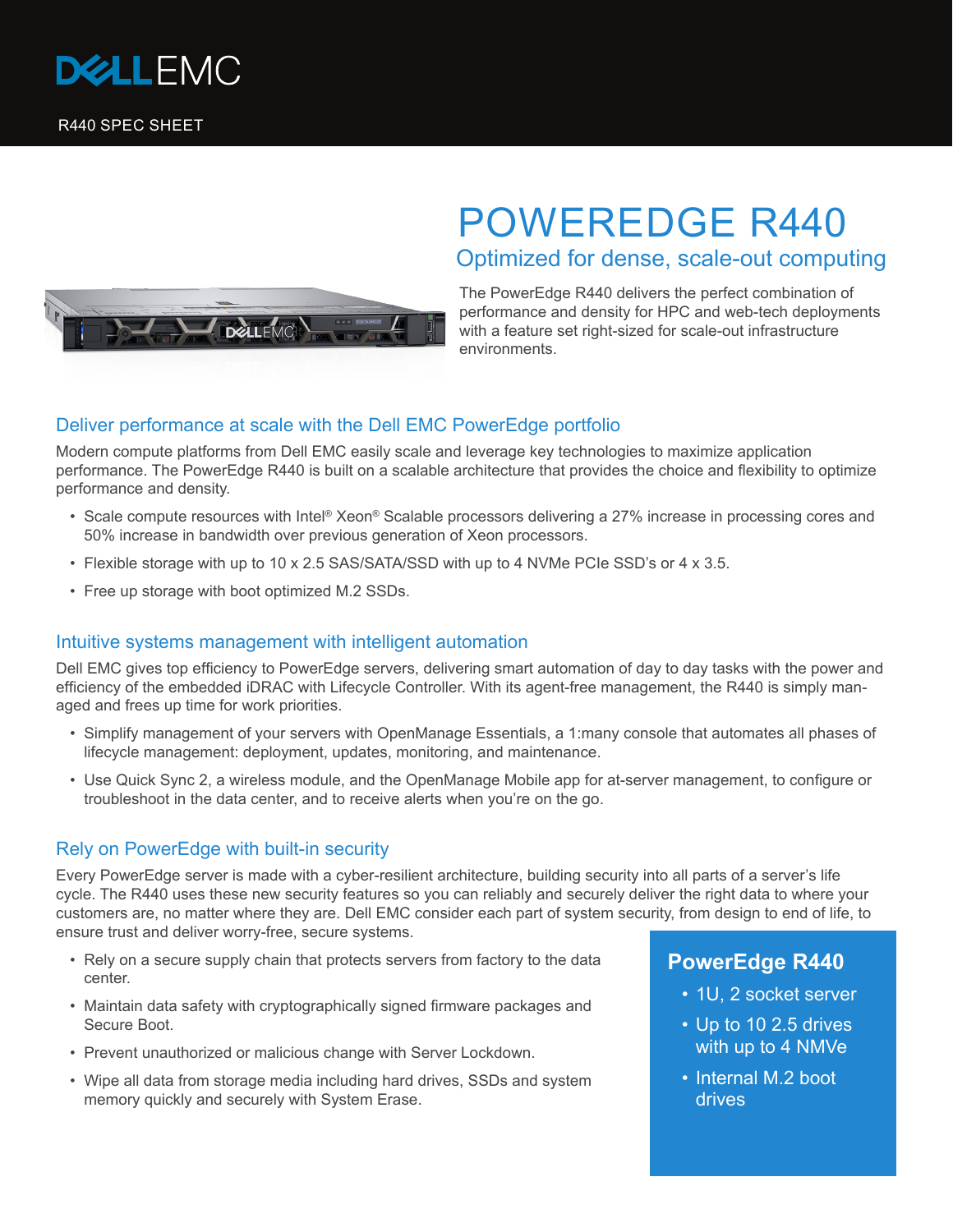



# POWEREDGE R440 Optimized for dense, scale-out computing

The PowerEdge R440 delivers the perfect combination of performance and density for HPC and web-tech deployments with a feature set right-sized for scale-out infrastructure environments.

### Deliver performance at scale with the Dell EMC PowerEdge portfolio

Modern compute platforms from Dell EMC easily scale and leverage key technologies to maximize application performance. The PowerEdge R440 is built on a scalable architecture that provides the choice and flexibility to optimize performance and density.

- Scale compute resources with Intel® Xeon® Scalable processors delivering a 27% increase in processing cores and 50% increase in bandwidth over previous generation of Xeon processors.
- Flexible storage with up to 10 x 2.5 SAS/SATA/SSD with up to 4 NVMe PCIe SSD's or 4 x 3.5.
- Free up storage with boot optimized M.2 SSDs.

#### Intuitive systems management with intelligent automation

Dell EMC gives top efficiency to PowerEdge servers, delivering smart automation of day to day tasks with the power and efficiency of the embedded iDRAC with Lifecycle Controller. With its agent-free management, the R440 is simply managed and frees up time for work priorities.

- Simplify management of your servers with OpenManage Essentials, a 1:many console that automates all phases of lifecycle management: deployment, updates, monitoring, and maintenance.
- Use Quick Sync 2, a wireless module, and the OpenManage Mobile app for at-server management, to configure or troubleshoot in the data center, and to receive alerts when you're on the go.

#### Rely on PowerEdge with built-in security

Every PowerEdge server is made with a cyber-resilient architecture, building security into all parts of a server's life cycle. The R440 uses these new security features so you can reliably and securely deliver the right data to where your customers are, no matter where they are. Dell EMC consider each part of system security, from design to end of life, to ensure trust and deliver worry-free, secure systems.

- Rely on a secure supply chain that protects servers from factory to the data center.
- Maintain data safety with cryptographically signed firmware packages and Secure Boot.
- Prevent unauthorized or malicious change with Server Lockdown.
- Wipe all data from storage media including hard drives, SSDs and system memory quickly and securely with System Erase.

## **PowerEdge R440**

- 1U, 2 socket server
- Up to 10 2.5 drives with up to 4 NMVe
- Internal M.2 boot drives